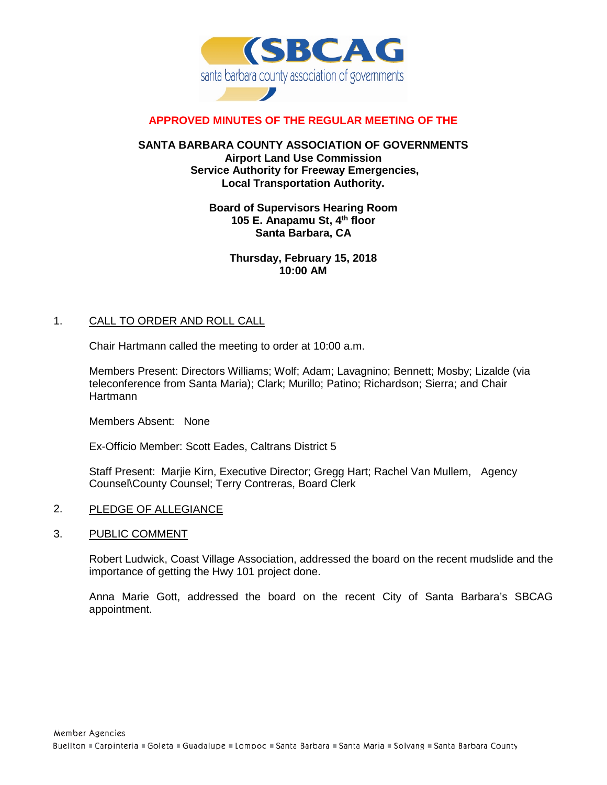

# **APPROVED MINUTES OF THE REGULAR MEETING OF THE**

#### **SANTA BARBARA COUNTY ASSOCIATION OF GOVERNMENTS Airport Land Use Commission Service Authority for Freeway Emergencies, Local Transportation Authority.**

## **Board of Supervisors Hearing Room 105 E. Anapamu St, 4th floor Santa Barbara, CA**

**Thursday, February 15, 2018 10:00 AM**

#### 1. CALL TO ORDER AND ROLL CALL

Chair Hartmann called the meeting to order at 10:00 a.m.

Members Present: Directors Williams; Wolf; Adam; Lavagnino; Bennett; Mosby; Lizalde (via teleconference from Santa Maria); Clark; Murillo; Patino; Richardson; Sierra; and Chair **Hartmann** 

Members Absent: None

Ex-Officio Member: Scott Eades, Caltrans District 5

Staff Present: Marjie Kirn, Executive Director; Gregg Hart; Rachel Van Mullem, Agency Counsel\County Counsel; Terry Contreras, Board Clerk

- 2. PLEDGE OF ALLEGIANCE
- 3. PUBLIC COMMENT

Robert Ludwick, Coast Village Association, addressed the board on the recent mudslide and the importance of getting the Hwy 101 project done.

Anna Marie Gott, addressed the board on the recent City of Santa Barbara's SBCAG appointment.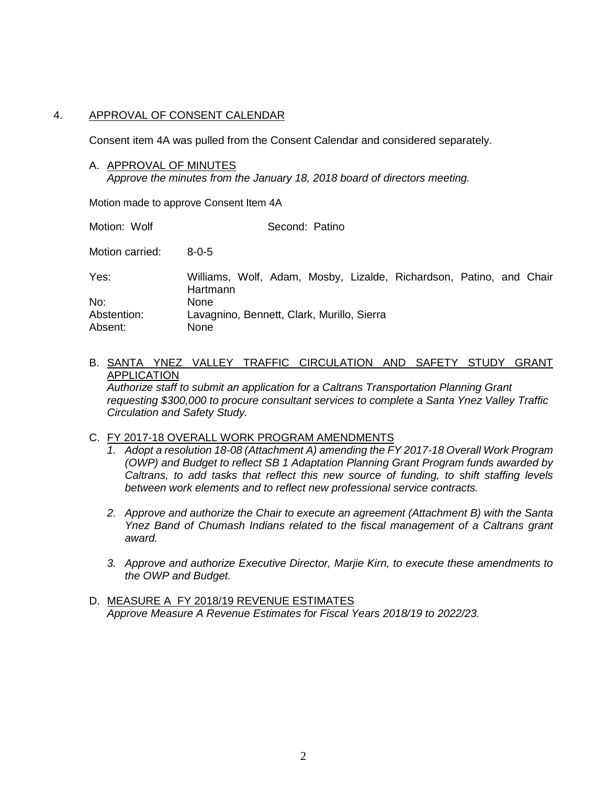#### 4. APPROVAL OF CONSENT CALENDAR

Consent item 4A was pulled from the Consent Calendar and considered separately.

A. APPROVAL OF MINUTES

*Approve the minutes from the January 18, 2018 board of directors meeting.*

Motion made to approve Consent Item 4A

Motion: Wolf Second: Patino

Motion carried: 8-0-5

| Yes:        | Williams, Wolf, Adam, Mosby, Lizalde, Richardson, Patino, and Chair<br>Hartmann |
|-------------|---------------------------------------------------------------------------------|
| No:         | None                                                                            |
| Abstention: | Lavagnino, Bennett, Clark, Murillo, Sierra                                      |
| Absent:     | None                                                                            |

# B. SANTA YNEZ VALLEY TRAFFIC CIRCULATION AND SAFETY STUDY GRANT APPLICATION

*Authorize staff to submit an application for a Caltrans Transportation Planning Grant requesting \$300,000 to procure consultant services to complete a Santa Ynez Valley Traffic Circulation and Safety Study.*

#### C. FY 2017-18 OVERALL WORK PROGRAM AMENDMENTS

- *1. Adopt a resolution 18-08 (Attachment A) amending the FY 2017-18 Overall Work Program (OWP) and Budget to reflect SB 1 Adaptation Planning Grant Program funds awarded by Caltrans, to add tasks that reflect this new source of funding, to shift staffing levels between work elements and to reflect new professional service contracts.*
- *2. Approve and authorize the Chair to execute an agreement (Attachment B) with the Santa Ynez Band of Chumash Indians related to the fiscal management of a Caltrans grant award.*
- *3. Approve and authorize Executive Director, Marjie Kirn, to execute these amendments to the OWP and Budget.*
- D. MEASURE A FY 2018/19 REVENUE ESTIMATES *Approve Measure A Revenue Estimates for Fiscal Years 2018/19 to 2022/23.*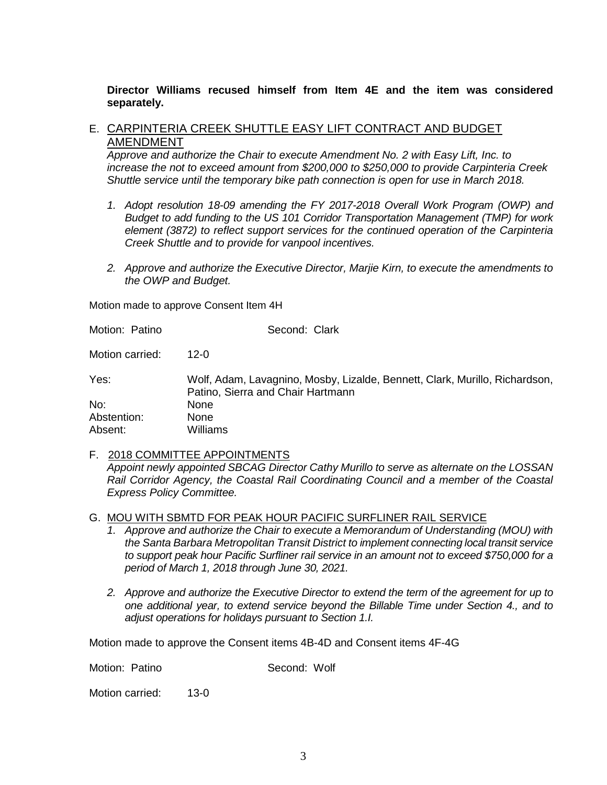#### **Director Williams recused himself from Item 4E and the item was considered separately.**

# E. CARPINTERIA CREEK SHUTTLE EASY LIFT CONTRACT AND BUDGET AMENDMENT

*Approve and authorize the Chair to execute Amendment No. 2 with Easy Lift, Inc. to increase the not to exceed amount from \$200,000 to \$250,000 to provide Carpinteria Creek Shuttle service until the temporary bike path connection is open for use in March 2018.* 

- *1. Adopt resolution 18-09 amending the FY 2017-2018 Overall Work Program (OWP) and Budget to add funding to the US 101 Corridor Transportation Management (TMP) for work element (3872) to reflect support services for the continued operation of the Carpinteria Creek Shuttle and to provide for vanpool incentives.*
- *2. Approve and authorize the Executive Director, Marjie Kirn, to execute the amendments to the OWP and Budget.*

Motion made to approve Consent Item 4H

*Express Policy Committee.*

Motion: Patino Second: Clark

Motion carried: 12-0

Yes: Wolf, Adam, Lavagnino, Mosby, Lizalde, Bennett, Clark, Murillo, Richardson, Patino, Sierra and Chair Hartmann No: None Abstention: None Absent: Williams

F. 2018 COMMITTEE APPOINTMENTS *Appoint newly appointed SBCAG Director Cathy Murillo to serve as alternate on the LOSSAN Rail Corridor Agency, the Coastal Rail Coordinating Council and a member of the Coastal* 

G. MOU WITH SBMTD FOR PEAK HOUR PACIFIC SURFLINER RAIL SERVICE

- *1. Approve and authorize the Chair to execute a Memorandum of Understanding (MOU) with the Santa Barbara Metropolitan Transit District to implement connecting local transit service to support peak hour Pacific Surfliner rail service in an amount not to exceed \$750,000 for a period of March 1, 2018 through June 30, 2021.*
- *2. Approve and authorize the Executive Director to extend the term of the agreement for up to one additional year, to extend service beyond the Billable Time under Section 4., and to adjust operations for holidays pursuant to Section 1.I.*

Motion made to approve the Consent items 4B-4D and Consent items 4F-4G

Motion: Patino Second: Wolf

Motion carried: 13-0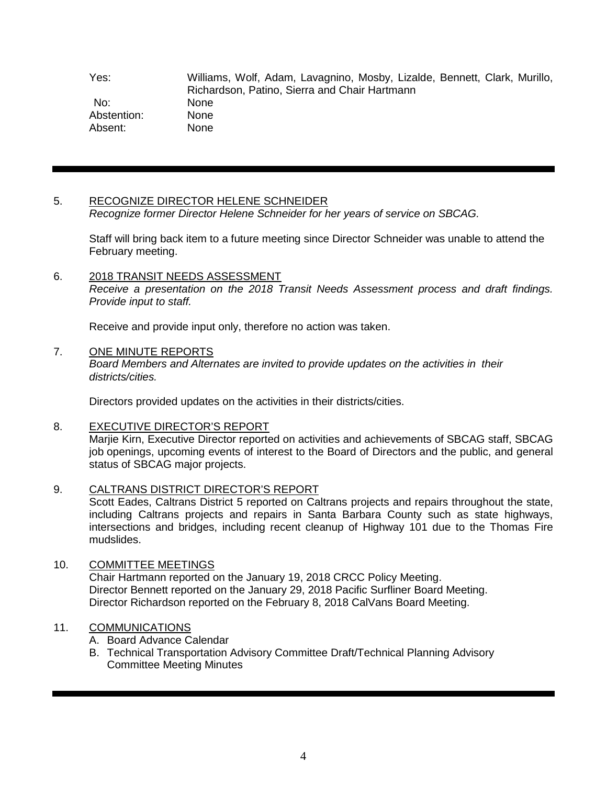Yes: Williams, Wolf, Adam, Lavagnino, Mosby, Lizalde, Bennett, Clark, Murillo, Richardson, Patino, Sierra and Chair Hartmann No: None Abstention: None Absent: None

# 5. RECOGNIZE DIRECTOR HELENE SCHNEIDER

*Recognize former Director Helene Schneider for her years of service on SBCAG.*

Staff will bring back item to a future meeting since Director Schneider was unable to attend the February meeting.

# 6. 2018 TRANSIT NEEDS ASSESSMENT

*Receive a presentation on the 2018 Transit Needs Assessment process and draft findings. Provide input to staff.*

Receive and provide input only, therefore no action was taken.

# 7. ONE MINUTE REPORTS

*Board Members and Alternates are invited to provide updates on the activities in their districts/cities.*

Directors provided updates on the activities in their districts/cities.

# 8. EXECUTIVE DIRECTOR'S REPORT

Marjie Kirn, Executive Director reported on activities and achievements of SBCAG staff, SBCAG job openings, upcoming events of interest to the Board of Directors and the public, and general status of SBCAG major projects.

# 9. CALTRANS DISTRICT DIRECTOR'S REPORT

Scott Eades, Caltrans District 5 reported on Caltrans projects and repairs throughout the state, including Caltrans projects and repairs in Santa Barbara County such as state highways, intersections and bridges, including recent cleanup of Highway 101 due to the Thomas Fire mudslides.

# 10. COMMITTEE MEETINGS

Chair Hartmann reported on the January 19, 2018 CRCC Policy Meeting. Director Bennett reported on the January 29, 2018 Pacific Surfliner Board Meeting. Director Richardson reported on the February 8, 2018 CalVans Board Meeting.

# 11. COMMUNICATIONS

- A. Board Advance Calendar
- B. Technical Transportation Advisory Committee Draft/Technical Planning Advisory Committee Meeting Minutes